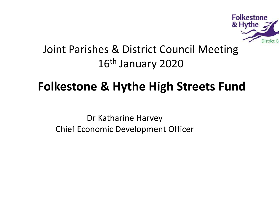

### Joint Parishes & District Council Meeting16<sup>th</sup> January 2020

## Folkestone & Hythe High Streets Fund

Dr Katharine HarveyChief Economic Development Officer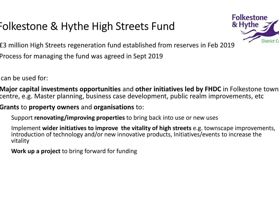## Folkestone & Hythe High Streets Fund



£3 million High Streets regeneration fund established from reserves in Feb 2019

Process for managing the fund was agreed in Sept 2019

can be used for:

Major capital investments opportunities and other initiatives led by FHDC in Folkestone town centre, e.g. Master planning, business case development, public realm improvements, etc

Grants to property owners and organisations to:

Support **renovating/improving properties** to bring back into use or new uses

Implement wider initiatives to improve the vitality of high streets e.g. townscape improvements, introduction of technology and/or new innovative products, Initiatives/events to increase the vitality

**Work up a project** to bring forward for funding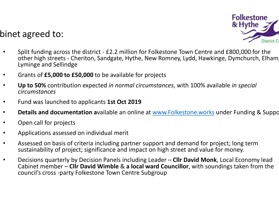#### binet agreed to:



- • Split funding across the district - £2.2 million for Folkestone Town Centre and £800,000 for the other high streets - Cheriton, Sandgate, Hythe, New Romney, Lydd, Hawkinge, Dymchurch, Elham, Lyminge and Sellindge
- •Grants of £5,000 to £50,000 to be available for projects
- •• Up to 50% contribution expected in normal circumstances, with 100% available in special<br>circumstances circumstances
- •Fund was launched to applicants 1st Oct 2019
- •**• Details and documentation a**vailable an online at www.Folkestone.works under Funding & Suppo
- •Open call for projects
- •Applications assessed on individual merit
- • Assessed on basis of criteria including partner support and demand for project; long term sustainability of project; significance and impact on high street and value for money.
- •• Decisions quarterly by Decision Panels including Leader – Cllr David Monk, Local Economy lead<br>California Club David Windsle 2 a Local mont Conneiller with complicate telese from the Cabinet member – Cllr David Wimble & a local ward Councillor, with soundings taken from the council's cross -party Folkestone Town Centre Subgroup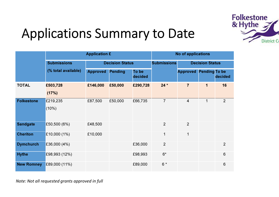

# Applications Summary to Date

|                   | <b>Application £</b> |                        |                |                  | No of applications |                        |                      |                |
|-------------------|----------------------|------------------------|----------------|------------------|--------------------|------------------------|----------------------|----------------|
|                   | <b>Submissions</b>   | <b>Decision Status</b> |                |                  | <b>Submissions</b> | <b>Decision Status</b> |                      |                |
|                   | (% total available)  | <b>Approved</b>        | <b>Pending</b> | To be<br>decided |                    | <b>Approved</b>        | <b>Pending To be</b> | decided        |
| <b>TOTAL</b>      | £503,728             | £146,000               | £50,000        | £290,728         | $24 *$             | $\overline{7}$         | 1                    | 16             |
|                   | (17%)                |                        |                |                  |                    |                        |                      |                |
| <b>Folkestone</b> | £219,235             | £87,500                | £50,000        | £66,735          | $\overline{7}$     | $\overline{4}$         | $\mathbf 1$          | 2              |
|                   | (10%)                |                        |                |                  |                    |                        |                      |                |
| <b>Sandgate</b>   | £50,500 (6%)         | £48,500                |                |                  | $\overline{2}$     | $\overline{2}$         |                      |                |
| <b>Cheriton</b>   | E10,000(1%)          | £10,000                |                |                  | 1                  | $\mathbf 1$            |                      |                |
| <b>Dymchurch</b>  | E36,000(4%)          |                        |                | £36,000          | $\overline{2}$     |                        |                      | $\overline{2}$ |
| <b>Hythe</b>      | £98,993 (12%)        |                        |                | £98,993          | $6*$               |                        |                      | 6              |
| <b>New Romney</b> | £89,000 (11%)        |                        |                | £89,000          | $6*$               |                        |                      | 6              |

Note: Not all requested grants approved in full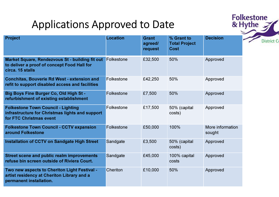